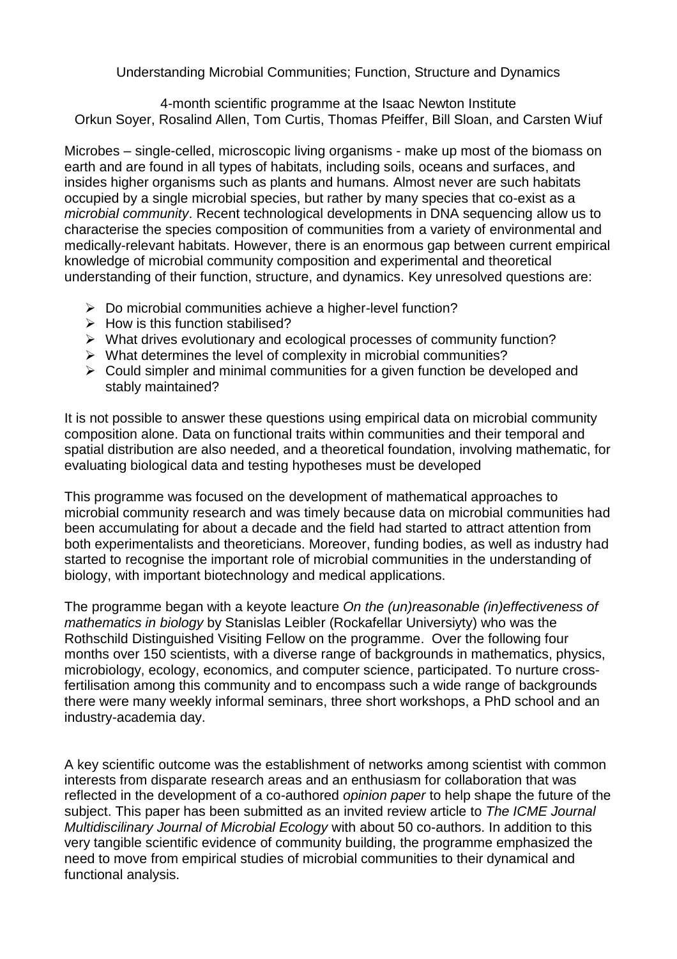Understanding Microbial Communities; Function, Structure and Dynamics

4-month scientific programme at the Isaac Newton Institute Orkun Soyer, Rosalind Allen, Tom Curtis, Thomas Pfeiffer, Bill Sloan, and Carsten Wiuf

Microbes – single-celled, microscopic living organisms - make up most of the biomass on earth and are found in all types of habitats, including soils, oceans and surfaces, and insides higher organisms such as plants and humans. Almost never are such habitats occupied by a single microbial species, but rather by many species that co-exist as a *microbial community*. Recent technological developments in DNA sequencing allow us to characterise the species composition of communities from a variety of environmental and medically-relevant habitats. However, there is an enormous gap between current empirical knowledge of microbial community composition and experimental and theoretical understanding of their function, structure, and dynamics. Key unresolved questions are:

- $\triangleright$  Do microbial communities achieve a higher-level function?
- $\triangleright$  How is this function stabilised?
- What drives evolutionary and ecological processes of community function?
- $\triangleright$  What determines the level of complexity in microbial communities?
- $\triangleright$  Could simpler and minimal communities for a given function be developed and stably maintained?

It is not possible to answer these questions using empirical data on microbial community composition alone. Data on functional traits within communities and their temporal and spatial distribution are also needed, and a theoretical foundation, involving mathematic, for evaluating biological data and testing hypotheses must be developed

This programme was focused on the development of mathematical approaches to microbial community research and was timely because data on microbial communities had been accumulating for about a decade and the field had started to attract attention from both experimentalists and theoreticians. Moreover, funding bodies, as well as industry had started to recognise the important role of microbial communities in the understanding of biology, with important biotechnology and medical applications.

The programme began with a keyote leacture *On the (un)reasonable (in)effectiveness of mathematics in biology* by Stanislas Leibler (Rockafellar Universiyty) who was the Rothschild Distinguished Visiting Fellow on the programme. Over the following four months over 150 scientists, with a diverse range of backgrounds in mathematics, physics, microbiology, ecology, economics, and computer science, participated. To nurture crossfertilisation among this community and to encompass such a wide range of backgrounds there were many weekly informal seminars, three short workshops, a PhD school and an industry-academia day.

A key scientific outcome was the establishment of networks among scientist with common interests from disparate research areas and an enthusiasm for collaboration that was reflected in the development of a co-authored *opinion paper* to help shape the future of the subject. This paper has been submitted as an invited review article to *The ICME Journal Multidiscilinary Journal of Microbial Ecology* with about 50 co-authors. In addition to this very tangible scientific evidence of community building, the programme emphasized the need to move from empirical studies of microbial communities to their dynamical and functional analysis.